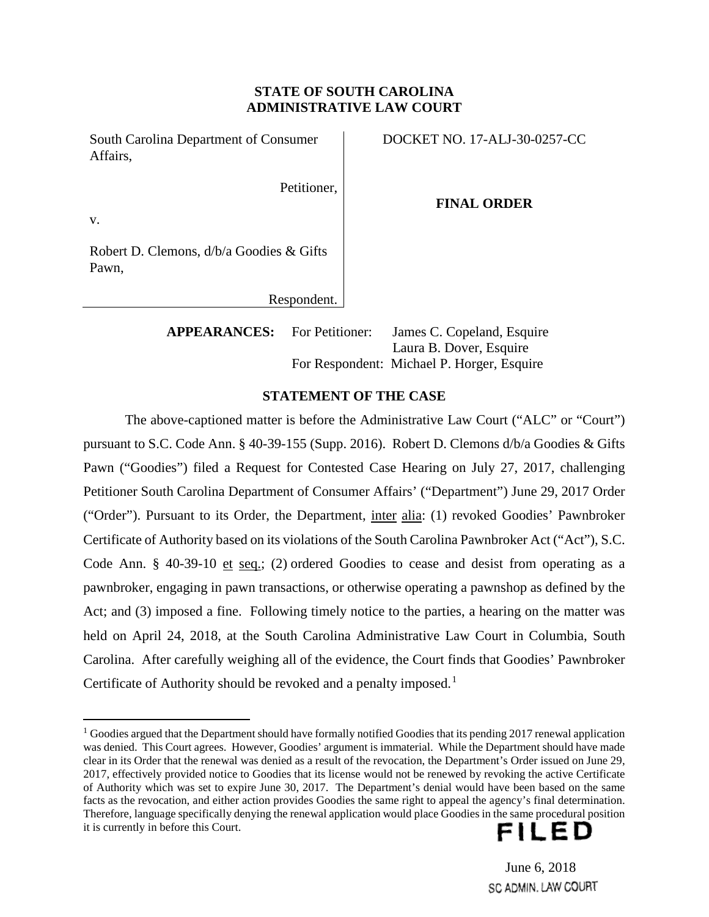# **STATE OF SOUTH CAROLINA ADMINISTRATIVE LAW COURT**

South Carolina Department of Consumer Affairs,

DOCKET NO. 17-ALJ-30-0257-CC

Petitioner,

### **FINAL ORDER**

v.

Robert D. Clemons, d/b/a Goodies & Gifts Pawn,

Respondent.

**APPEARANCES:** For Petitioner: James C. Copeland, Esquire Laura B. Dover, Esquire For Respondent: Michael P. Horger, Esquire

# **STATEMENT OF THE CASE**

The above-captioned matter is before the Administrative Law Court ("ALC" or "Court") pursuant to S.C. Code Ann. § 40-39-155 (Supp. 2016). Robert D. Clemons d/b/a Goodies & Gifts Pawn ("Goodies") filed a Request for Contested Case Hearing on July 27, 2017, challenging Petitioner South Carolina Department of Consumer Affairs' ("Department") June 29, 2017 Order ("Order"). Pursuant to its Order, the Department, inter alia: (1) revoked Goodies' Pawnbroker Certificate of Authority based on its violations of the South Carolina Pawnbroker Act ("Act"), S.C. Code Ann. § 40-39-10 et seq.; (2) ordered Goodies to cease and desist from operating as a pawnbroker, engaging in pawn transactions, or otherwise operating a pawnshop as defined by the Act; and (3) imposed a fine. Following timely notice to the parties, a hearing on the matter was held on April 24, 2018, at the South Carolina Administrative Law Court in Columbia, South Carolina. After carefully weighing all of the evidence, the Court finds that Goodies' Pawnbroker Certificate of Authority should be revoked and a penalty imposed.<sup>1</sup>

 $1$  Goodies argued that the Department should have formally notified Goodies that its pending 2017 renewal application was denied. This Court agrees. However, Goodies' argument is immaterial. While the Department should have made clear in its Order that the renewal was denied as a result of the revocation, the Department's Order issued on June 29, 2017, effectively provided notice to Goodies that its license would not be renewed by revoking the active Certificate of Authority which was set to expire June 30, 2017. The Department's denial would have been based on the same facts as the revocation, and either action provides Goodies the same right to appeal the agency's final determination. Therefore, language specifically denying the renewal application would place Goodies in the same procedural position it is currently in before this Court.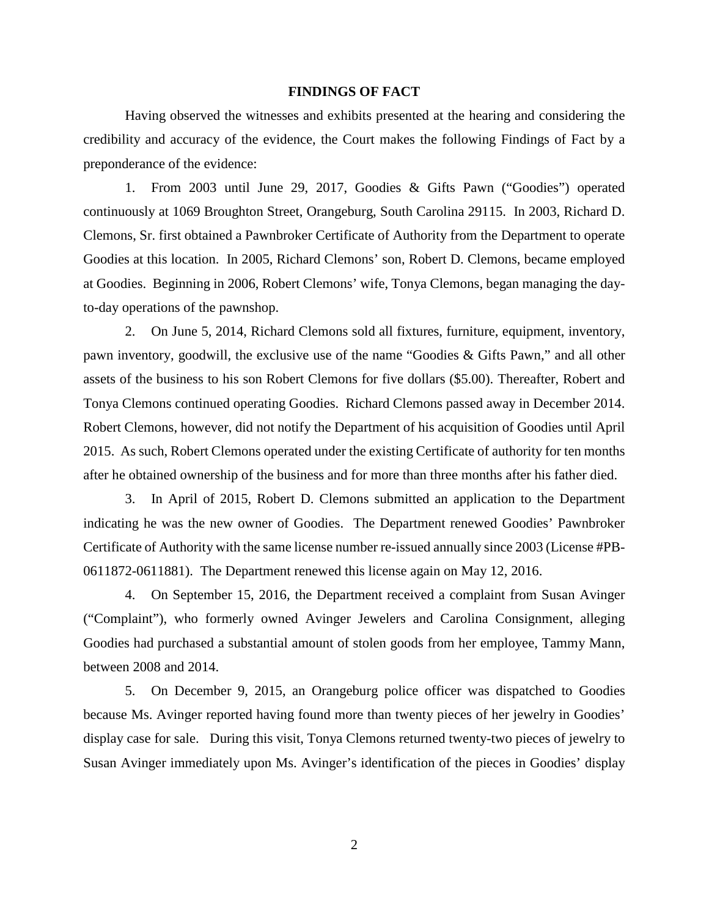#### **FINDINGS OF FACT**

Having observed the witnesses and exhibits presented at the hearing and considering the credibility and accuracy of the evidence, the Court makes the following Findings of Fact by a preponderance of the evidence:

1. From 2003 until June 29, 2017, Goodies & Gifts Pawn ("Goodies") operated continuously at 1069 Broughton Street, Orangeburg, South Carolina 29115. In 2003, Richard D. Clemons, Sr. first obtained a Pawnbroker Certificate of Authority from the Department to operate Goodies at this location. In 2005, Richard Clemons' son, Robert D. Clemons, became employed at Goodies. Beginning in 2006, Robert Clemons' wife, Tonya Clemons, began managing the dayto-day operations of the pawnshop.

2. On June 5, 2014, Richard Clemons sold all fixtures, furniture, equipment, inventory, pawn inventory, goodwill, the exclusive use of the name "Goodies & Gifts Pawn," and all other assets of the business to his son Robert Clemons for five dollars (\$5.00). Thereafter, Robert and Tonya Clemons continued operating Goodies. Richard Clemons passed away in December 2014. Robert Clemons, however, did not notify the Department of his acquisition of Goodies until April 2015. As such, Robert Clemons operated under the existing Certificate of authority for ten months after he obtained ownership of the business and for more than three months after his father died.

3. In April of 2015, Robert D. Clemons submitted an application to the Department indicating he was the new owner of Goodies. The Department renewed Goodies' Pawnbroker Certificate of Authority with the same license number re-issued annually since 2003 (License #PB-0611872-0611881). The Department renewed this license again on May 12, 2016.

4. On September 15, 2016, the Department received a complaint from Susan Avinger ("Complaint"), who formerly owned Avinger Jewelers and Carolina Consignment, alleging Goodies had purchased a substantial amount of stolen goods from her employee, Tammy Mann, between 2008 and 2014.

5. On December 9, 2015, an Orangeburg police officer was dispatched to Goodies because Ms. Avinger reported having found more than twenty pieces of her jewelry in Goodies' display case for sale. During this visit, Tonya Clemons returned twenty-two pieces of jewelry to Susan Avinger immediately upon Ms. Avinger's identification of the pieces in Goodies' display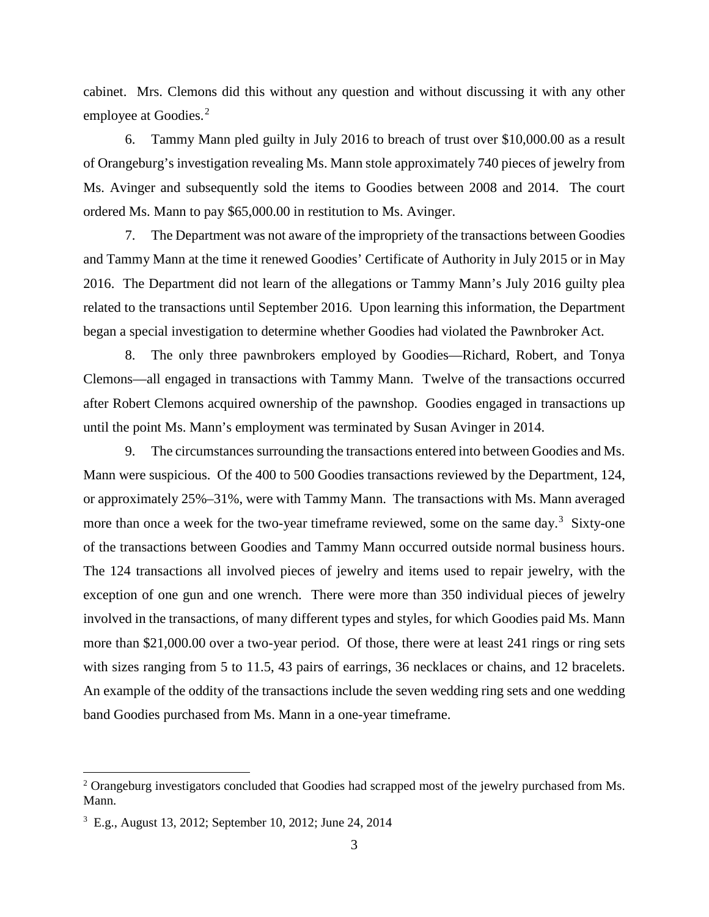cabinet. Mrs. Clemons did this without any question and without discussing it with any other employee at Goodies.<sup>2</sup>

6. Tammy Mann pled guilty in July 2016 to breach of trust over \$10,000.00 as a result of Orangeburg's investigation revealing Ms. Mann stole approximately 740 pieces of jewelry from Ms. Avinger and subsequently sold the items to Goodies between 2008 and 2014. The court ordered Ms. Mann to pay \$65,000.00 in restitution to Ms. Avinger.

7. The Department was not aware of the impropriety of the transactions between Goodies and Tammy Mann at the time it renewed Goodies' Certificate of Authority in July 2015 or in May 2016. The Department did not learn of the allegations or Tammy Mann's July 2016 guilty plea related to the transactions until September 2016. Upon learning this information, the Department began a special investigation to determine whether Goodies had violated the Pawnbroker Act.

8. The only three pawnbrokers employed by Goodies—Richard, Robert, and Tonya Clemons—all engaged in transactions with Tammy Mann. Twelve of the transactions occurred after Robert Clemons acquired ownership of the pawnshop. Goodies engaged in transactions up until the point Ms. Mann's employment was terminated by Susan Avinger in 2014.

9. The circumstances surrounding the transactions entered into between Goodies and Ms. Mann were suspicious. Of the 400 to 500 Goodies transactions reviewed by the Department, 124, or approximately 25%–31%, were with Tammy Mann. The transactions with Ms. Mann averaged more than once a week for the two-year timeframe reviewed, some on the same day.<sup>3</sup> Sixty-one of the transactions between Goodies and Tammy Mann occurred outside normal business hours. The 124 transactions all involved pieces of jewelry and items used to repair jewelry, with the exception of one gun and one wrench. There were more than 350 individual pieces of jewelry involved in the transactions, of many different types and styles, for which Goodies paid Ms. Mann more than \$21,000.00 over a two-year period. Of those, there were at least 241 rings or ring sets with sizes ranging from 5 to 11.5, 43 pairs of earrings, 36 necklaces or chains, and 12 bracelets. An example of the oddity of the transactions include the seven wedding ring sets and one wedding band Goodies purchased from Ms. Mann in a one-year timeframe.

<sup>&</sup>lt;sup>2</sup> Orangeburg investigators concluded that Goodies had scrapped most of the jewelry purchased from Ms. Mann.

<sup>3</sup> E.g., August 13, 2012; September 10, 2012; June 24, 2014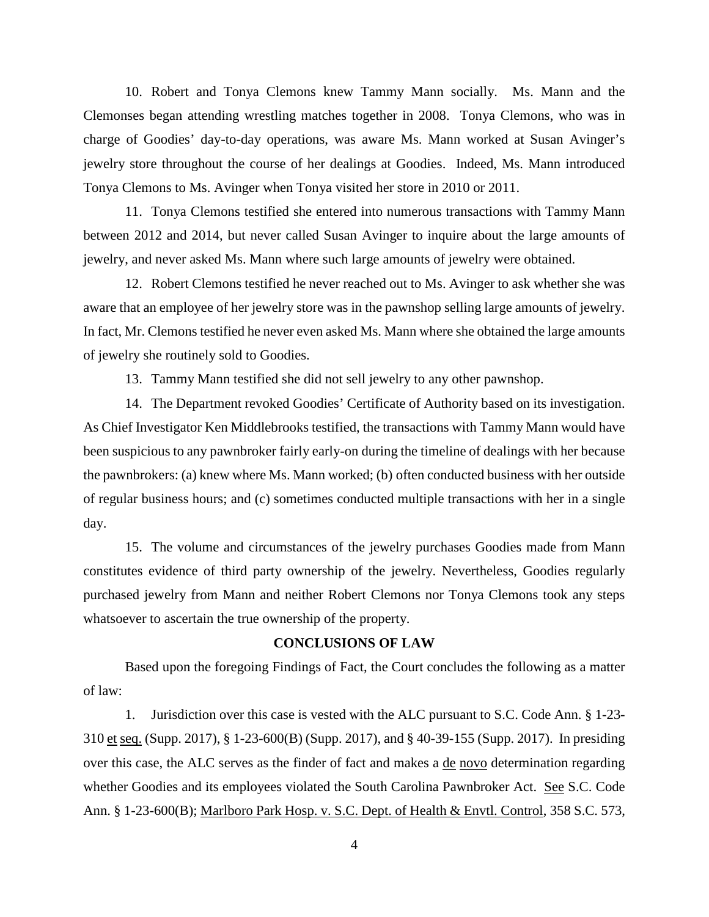10. Robert and Tonya Clemons knew Tammy Mann socially. Ms. Mann and the Clemonses began attending wrestling matches together in 2008. Tonya Clemons, who was in charge of Goodies' day-to-day operations, was aware Ms. Mann worked at Susan Avinger's jewelry store throughout the course of her dealings at Goodies. Indeed, Ms. Mann introduced Tonya Clemons to Ms. Avinger when Tonya visited her store in 2010 or 2011.

11. Tonya Clemons testified she entered into numerous transactions with Tammy Mann between 2012 and 2014, but never called Susan Avinger to inquire about the large amounts of jewelry, and never asked Ms. Mann where such large amounts of jewelry were obtained.

12. Robert Clemons testified he never reached out to Ms. Avinger to ask whether she was aware that an employee of her jewelry store was in the pawnshop selling large amounts of jewelry. In fact, Mr. Clemons testified he never even asked Ms. Mann where she obtained the large amounts of jewelry she routinely sold to Goodies.

13. Tammy Mann testified she did not sell jewelry to any other pawnshop.

14. The Department revoked Goodies' Certificate of Authority based on its investigation. As Chief Investigator Ken Middlebrooks testified, the transactions with Tammy Mann would have been suspicious to any pawnbroker fairly early-on during the timeline of dealings with her because the pawnbrokers: (a) knew where Ms. Mann worked; (b) often conducted business with her outside of regular business hours; and (c) sometimes conducted multiple transactions with her in a single day.

15. The volume and circumstances of the jewelry purchases Goodies made from Mann constitutes evidence of third party ownership of the jewelry. Nevertheless, Goodies regularly purchased jewelry from Mann and neither Robert Clemons nor Tonya Clemons took any steps whatsoever to ascertain the true ownership of the property.

## **CONCLUSIONS OF LAW**

Based upon the foregoing Findings of Fact, the Court concludes the following as a matter of law:

1. Jurisdiction over this case is vested with the ALC pursuant to S.C. Code Ann. § 1-23- 310 et seq. (Supp. 2017), § 1-23-600(B) (Supp. 2017), and § 40-39-155 (Supp. 2017). In presiding over this case, the ALC serves as the finder of fact and makes a de novo determination regarding whether Goodies and its employees violated the South Carolina Pawnbroker Act. See S.C. Code Ann. § 1-23-600(B); Marlboro Park Hosp. v. S.C. Dept. of Health & Envtl. Control, 358 S.C. 573,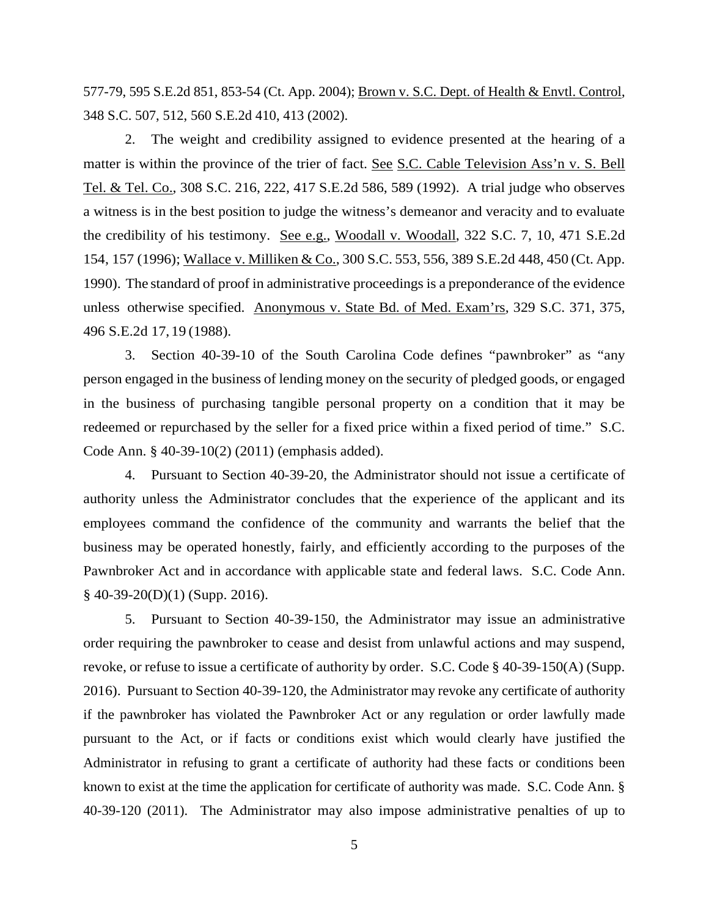577-79, 595 S.E.2d 851, 853-54 (Ct. App. 2004); Brown v. S.C. Dept. of Health & Envtl. Control, 348 S.C. 507, 512, 560 S.E.2d 410, 413 (2002).

2. The weight and credibility assigned to evidence presented at the hearing of a matter is within the province of the trier of fact. See S.C. Cable Television Ass'n v. S. Bell Tel. & Tel. Co., 308 S.C. 216, 222, 417 S.E.2d 586, 589 (1992). A trial judge who observes a witness is in the best position to judge the witness's demeanor and veracity and to evaluate the credibility of his testimony. See e.g., Woodall v. Woodall, 322 S.C. 7, 10, 471 S.E.2d 154, 157 (1996); Wallace v. Milliken & Co., 300 S.C. 553, 556, 389 S.E.2d 448, 450 (Ct. App. 1990). The standard of proof in administrative proceedings is a preponderance of the evidence unless otherwise specified. Anonymous v. State Bd. of Med. Exam'rs, 329 S.C. 371, 375, 496 S.E.2d 17, 19 (1988).

3. Section 40-39-10 of the South Carolina Code defines "pawnbroker" as "any person engaged in the business of lending money on the security of pledged goods, or engaged in the business of purchasing tangible personal property on a condition that it may be redeemed or repurchased by the seller for a fixed price within a fixed period of time." S.C. Code Ann. § 40-39-10(2) (2011) (emphasis added).

4. Pursuant to Section 40-39-20, the Administrator should not issue a certificate of authority unless the Administrator concludes that the experience of the applicant and its employees command the confidence of the community and warrants the belief that the business may be operated honestly, fairly, and efficiently according to the purposes of the Pawnbroker Act and in accordance with applicable state and federal laws. S.C. Code Ann.  $§$  40-39-20(D)(1) (Supp. 2016).

5. Pursuant to Section 40-39-150, the Administrator may issue an administrative order requiring the pawnbroker to cease and desist from unlawful actions and may suspend, revoke, or refuse to issue a certificate of authority by order. S.C. Code § 40-39-150(A) (Supp. 2016). Pursuant to Section 40-39-120, the Administrator may revoke any certificate of authority if the pawnbroker has violated the Pawnbroker Act or any regulation or order lawfully made pursuant to the Act, or if facts or conditions exist which would clearly have justified the Administrator in refusing to grant a certificate of authority had these facts or conditions been known to exist at the time the application for certificate of authority was made. S.C. Code Ann. § 40-39-120 (2011). The Administrator may also impose administrative penalties of up to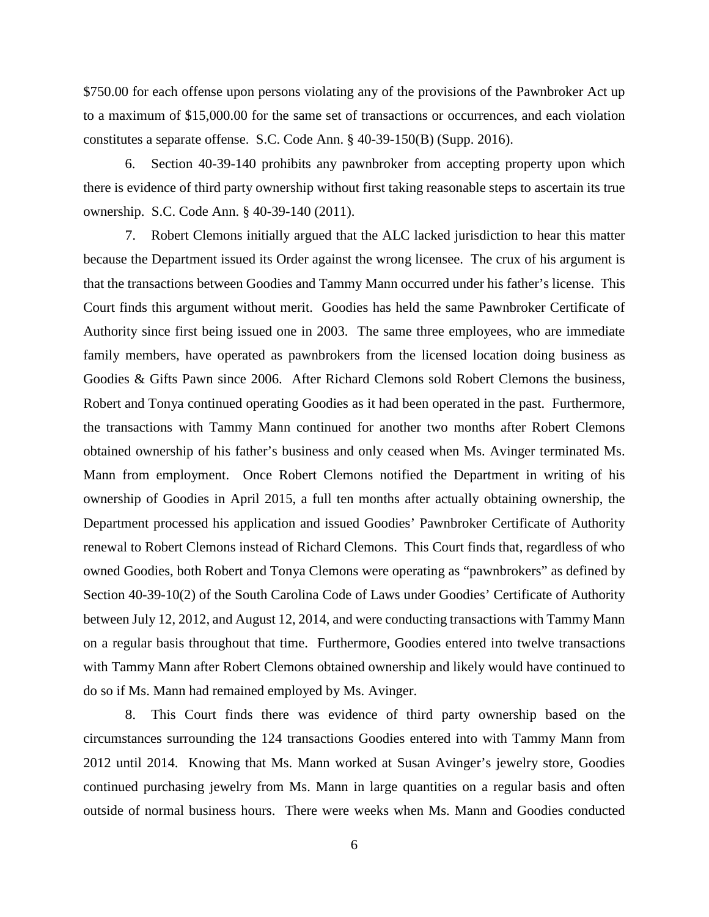\$750.00 for each offense upon persons violating any of the provisions of the Pawnbroker Act up to a maximum of \$15,000.00 for the same set of transactions or occurrences, and each violation constitutes a separate offense. S.C. Code Ann. § 40-39-150(B) (Supp. 2016).

6. Section 40-39-140 prohibits any pawnbroker from accepting property upon which there is evidence of third party ownership without first taking reasonable steps to ascertain its true ownership. S.C. Code Ann. § 40-39-140 (2011).

7. Robert Clemons initially argued that the ALC lacked jurisdiction to hear this matter because the Department issued its Order against the wrong licensee. The crux of his argument is that the transactions between Goodies and Tammy Mann occurred under his father's license. This Court finds this argument without merit. Goodies has held the same Pawnbroker Certificate of Authority since first being issued one in 2003. The same three employees, who are immediate family members, have operated as pawnbrokers from the licensed location doing business as Goodies & Gifts Pawn since 2006. After Richard Clemons sold Robert Clemons the business, Robert and Tonya continued operating Goodies as it had been operated in the past. Furthermore, the transactions with Tammy Mann continued for another two months after Robert Clemons obtained ownership of his father's business and only ceased when Ms. Avinger terminated Ms. Mann from employment. Once Robert Clemons notified the Department in writing of his ownership of Goodies in April 2015, a full ten months after actually obtaining ownership, the Department processed his application and issued Goodies' Pawnbroker Certificate of Authority renewal to Robert Clemons instead of Richard Clemons. This Court finds that, regardless of who owned Goodies, both Robert and Tonya Clemons were operating as "pawnbrokers" as defined by Section 40-39-10(2) of the South Carolina Code of Laws under Goodies' Certificate of Authority between July 12, 2012, and August 12, 2014, and were conducting transactions with Tammy Mann on a regular basis throughout that time. Furthermore, Goodies entered into twelve transactions with Tammy Mann after Robert Clemons obtained ownership and likely would have continued to do so if Ms. Mann had remained employed by Ms. Avinger.

8. This Court finds there was evidence of third party ownership based on the circumstances surrounding the 124 transactions Goodies entered into with Tammy Mann from 2012 until 2014. Knowing that Ms. Mann worked at Susan Avinger's jewelry store, Goodies continued purchasing jewelry from Ms. Mann in large quantities on a regular basis and often outside of normal business hours. There were weeks when Ms. Mann and Goodies conducted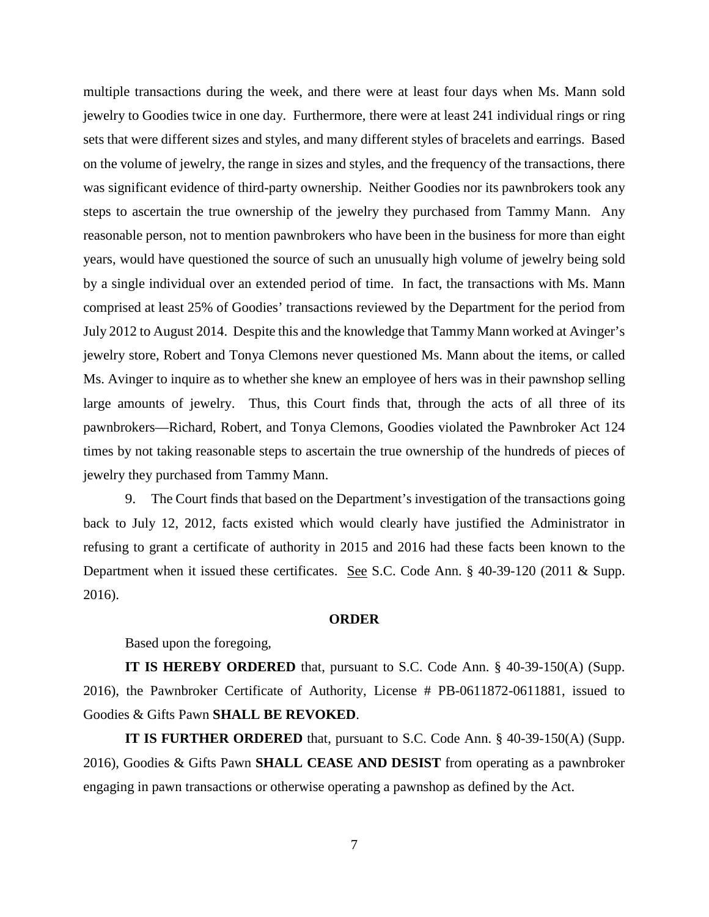multiple transactions during the week, and there were at least four days when Ms. Mann sold jewelry to Goodies twice in one day. Furthermore, there were at least 241 individual rings or ring sets that were different sizes and styles, and many different styles of bracelets and earrings. Based on the volume of jewelry, the range in sizes and styles, and the frequency of the transactions, there was significant evidence of third-party ownership. Neither Goodies nor its pawnbrokers took any steps to ascertain the true ownership of the jewelry they purchased from Tammy Mann. Any reasonable person, not to mention pawnbrokers who have been in the business for more than eight years, would have questioned the source of such an unusually high volume of jewelry being sold by a single individual over an extended period of time. In fact, the transactions with Ms. Mann comprised at least 25% of Goodies' transactions reviewed by the Department for the period from July 2012 to August 2014. Despite this and the knowledge that Tammy Mann worked at Avinger's jewelry store, Robert and Tonya Clemons never questioned Ms. Mann about the items, or called Ms. Avinger to inquire as to whether she knew an employee of hers was in their pawnshop selling large amounts of jewelry. Thus, this Court finds that, through the acts of all three of its pawnbrokers—Richard, Robert, and Tonya Clemons, Goodies violated the Pawnbroker Act 124 times by not taking reasonable steps to ascertain the true ownership of the hundreds of pieces of jewelry they purchased from Tammy Mann.

9. The Court finds that based on the Department's investigation of the transactions going back to July 12, 2012, facts existed which would clearly have justified the Administrator in refusing to grant a certificate of authority in 2015 and 2016 had these facts been known to the Department when it issued these certificates. See S.C. Code Ann. § 40-39-120 (2011 & Supp. 2016).

#### **ORDER**

Based upon the foregoing,

**IT IS HEREBY ORDERED** that, pursuant to S.C. Code Ann. § 40-39-150(A) (Supp. 2016), the Pawnbroker Certificate of Authority, License # PB-0611872-0611881, issued to Goodies & Gifts Pawn **SHALL BE REVOKED**.

**IT IS FURTHER ORDERED** that, pursuant to S.C. Code Ann. § 40-39-150(A) (Supp. 2016), Goodies & Gifts Pawn **SHALL CEASE AND DESIST** from operating as a pawnbroker engaging in pawn transactions or otherwise operating a pawnshop as defined by the Act.

7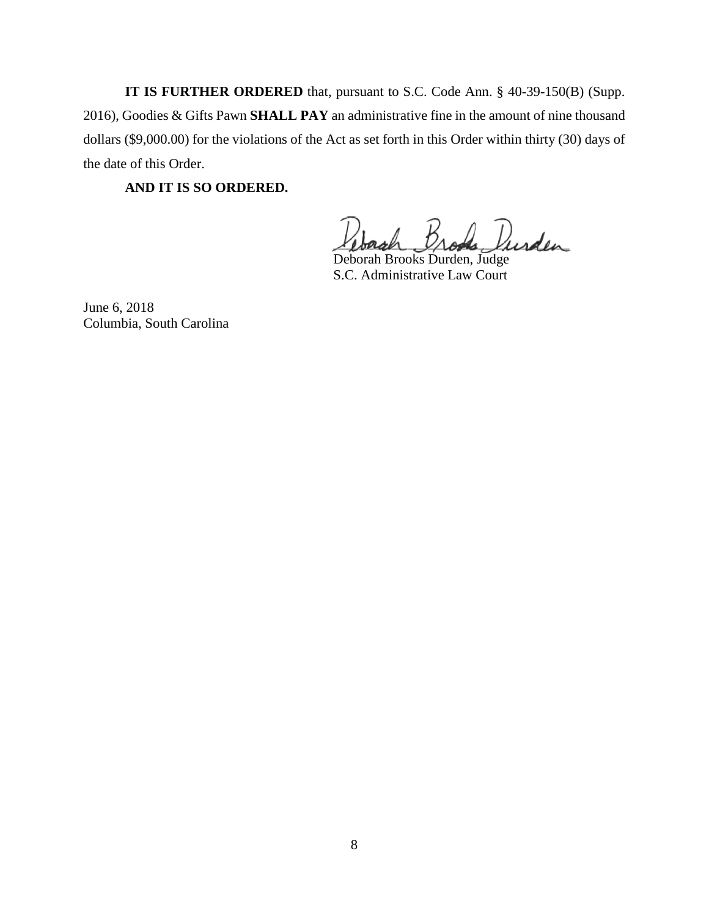**IT IS FURTHER ORDERED** that, pursuant to S.C. Code Ann. § 40-39-150(B) (Supp. 2016), Goodies & Gifts Pawn **SHALL PAY** an administrative fine in the amount of nine thousand dollars (\$9,000.00) for the violations of the Act as set forth in this Order within thirty (30) days of the date of this Order.

**AND IT IS SO ORDERED.**

Brada Durden

Deborah Brooks Durden, Judge S.C. Administrative Law Court

June 6, 2018 Columbia, South Carolina